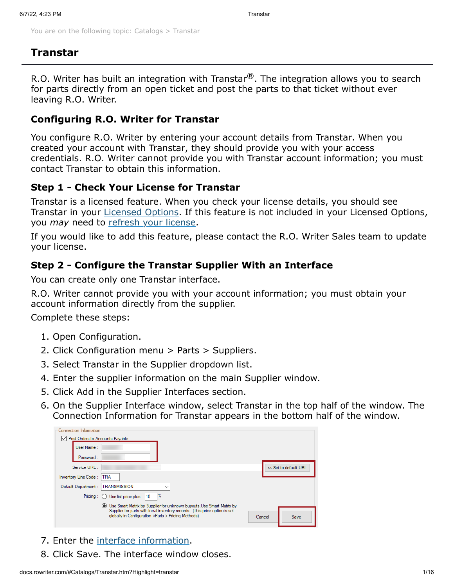You are on the following topic: [Catalogs](http://docs.rowriter.com/Content/Catalogs/Catalog_Interfaces.htm?TocPath=Catalogs%257C_____0) > Transtar

# **Transtar**

R.O. Writer has built an integration with Transtar $^{\circledR}$ . The integration allows you to search for parts directly from an open ticket and post the parts to that ticket without ever leaving R.O. Writer.

### **Configuring R.O. Writer for Transtar**

You configure R.O. Writer by entering your account details from Transtar. When you created your account with Transtar, they should provide you with your access credentials. R.O. Writer cannot provide you with Transtar account information; you must contact Transtar to obtain this information.

### **Step 1 - Check Your License for Transtar**

Transtar is a licensed feature. When you check your license details, you should see Transtar in your [Licensed Options](http://docs.rowriter.com/Content/Admin/Licensing.htm#Checking). If this feature is not included in your Licensed Options, you *may* need to [refresh your license.](http://docs.rowriter.com/Content/Admin/Licensing.htm#To5)

If you would like to add this feature, please contact the R.O. Writer Sales team to update your license.

### <span id="page-0-0"></span>**Step 2 - Configure the Transtar Supplier With an Interface**

You can create only one Transtar interface.

R.O. Writer cannot provide you with your account information; you must obtain your account information directly from the supplier.

Complete these steps:

- 1. Open Configuration.
- 2. Click Configuration menu > Parts > Suppliers.
- 3. Select Transtar in the Supplier dropdown list.
- 4. Enter the supplier information on the main Supplier window.
- 5. Click Add in the Supplier Interfaces section.
- 6. On the Supplier Interface window, select Transtar in the top half of the window. The Connection Information for Transtar appears in the bottom half of the window.



- 7. Enter the [interface information](#page-1-0).
- 8. Click Save. The interface window closes.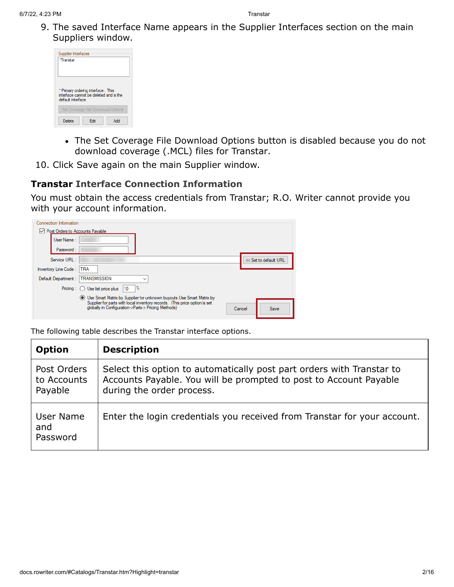9. The saved Interface Name appears in the Supplier Interfaces section on the main Suppliers window.

| Supplier Interfaces<br>*Transtar |                                                                                                                    |  |
|----------------------------------|--------------------------------------------------------------------------------------------------------------------|--|
| default interface                | * Primary ordering interface. This<br>interface cannot be deleted and is the<br>Set Coverage File Download Options |  |
|                                  |                                                                                                                    |  |

- The Set Coverage File Download Options button is disabled because you do not download coverage (.MCL) files for Transtar.
- 10. Click Save again on the main Supplier window.

### <span id="page-1-0"></span>**Transtar Interface Connection Information**

You must obtain the access credentials from Transtar; R.O. Writer cannot provide you with your account information.

| Connection Information          |                                                                                                                                                                                                                       |        |                       |
|---------------------------------|-----------------------------------------------------------------------------------------------------------------------------------------------------------------------------------------------------------------------|--------|-----------------------|
| Post Orders to Accounts Payable |                                                                                                                                                                                                                       |        |                       |
| User Name:                      |                                                                                                                                                                                                                       |        |                       |
| Password:                       |                                                                                                                                                                                                                       |        |                       |
| Service URL:                    |                                                                                                                                                                                                                       |        | << Set to default URL |
| Inventory Line Code:            | <b>TRA</b>                                                                                                                                                                                                            |        |                       |
| Default Department:             | <b>TRANSMISSION</b>                                                                                                                                                                                                   |        |                       |
|                                 | %<br>10<br>Pricing $\therefore$ Use list price plus                                                                                                                                                                   |        |                       |
|                                 | <b>IDE</b> Use Smart Matrix by Supplier for unknown buyouts. Use Smart Matrix by<br>Supplier for parts with local inventory records. (This price option is set<br>globally in Configuration->Parts-> Pricing Methods) | Cancel | Save                  |

The following table describes the Transtar interface options.

| <b>Option</b>                         | <b>Description</b>                                                                                                                                                      |
|---------------------------------------|-------------------------------------------------------------------------------------------------------------------------------------------------------------------------|
| Post Orders<br>to Accounts<br>Payable | Select this option to automatically post part orders with Transtar to<br>Accounts Payable. You will be prompted to post to Account Payable<br>during the order process. |
| User Name<br>and<br>Password          | Enter the login credentials you received from Transtar for your account.                                                                                                |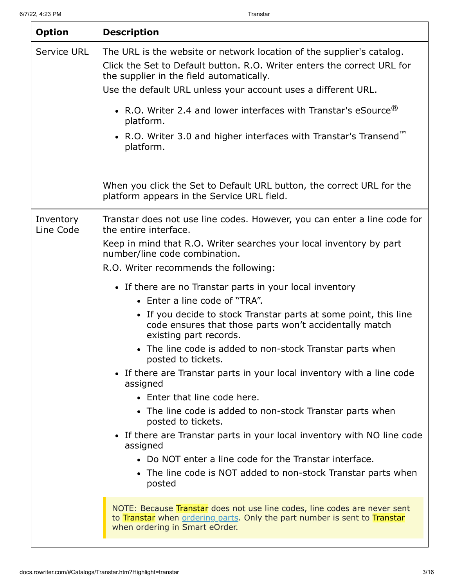| <b>Option</b>          | <b>Description</b>                                                                                                                                                                           |
|------------------------|----------------------------------------------------------------------------------------------------------------------------------------------------------------------------------------------|
| <b>Service URL</b>     | The URL is the website or network location of the supplier's catalog.<br>Click the Set to Default button, R.O. Writer enters the correct URL for<br>the supplier in the field automatically. |
|                        | Use the default URL unless your account uses a different URL.                                                                                                                                |
|                        | • R.O. Writer 2.4 and lower interfaces with Transtar's eSource $^{\circledR}$<br>platform.                                                                                                   |
|                        | • R.O. Writer 3.0 and higher interfaces with Transtar's Transend <sup>™</sup><br>platform.                                                                                                   |
|                        | When you click the Set to Default URL button, the correct URL for the<br>platform appears in the Service URL field.                                                                          |
| Inventory<br>Line Code | Transtar does not use line codes. However, you can enter a line code for<br>the entire interface.                                                                                            |
|                        | Keep in mind that R.O. Writer searches your local inventory by part<br>number/line code combination.                                                                                         |
|                        | R.O. Writer recommends the following:                                                                                                                                                        |
|                        | • If there are no Transtar parts in your local inventory                                                                                                                                     |
|                        | • Enter a line code of "TRA".                                                                                                                                                                |
|                        | • If you decide to stock Transtar parts at some point, this line<br>code ensures that those parts won't accidentally match<br>existing part records.                                         |
|                        | • The line code is added to non-stock Transtar parts when<br>posted to tickets.                                                                                                              |
|                        | • If there are Transtar parts in your local inventory with a line code<br>assigned                                                                                                           |
|                        | • Enter that line code here.                                                                                                                                                                 |
|                        | • The line code is added to non-stock Transtar parts when<br>posted to tickets.                                                                                                              |
|                        | • If there are Transtar parts in your local inventory with NO line code<br>assigned                                                                                                          |
|                        | • Do NOT enter a line code for the Transtar interface.<br>• The line code is NOT added to non-stock Transtar parts when<br>posted                                                            |
|                        | NOTE: Because Transtar does not use line codes, line codes are never sent<br>to Transtar when ordering parts. Only the part number is sent to Transtar<br>when ordering in Smart eOrder.     |
|                        |                                                                                                                                                                                              |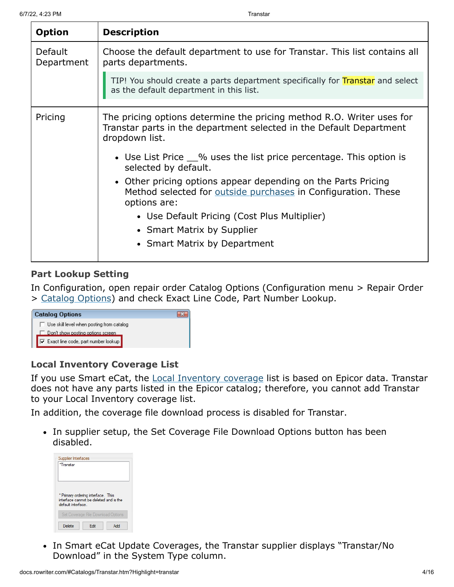| <b>Option</b>         | <b>Description</b>                                                                                                                                                                                                                                                                                                                                                                                                                                                                                                           |
|-----------------------|------------------------------------------------------------------------------------------------------------------------------------------------------------------------------------------------------------------------------------------------------------------------------------------------------------------------------------------------------------------------------------------------------------------------------------------------------------------------------------------------------------------------------|
| Default<br>Department | Choose the default department to use for Transtar. This list contains all<br>parts departments.                                                                                                                                                                                                                                                                                                                                                                                                                              |
|                       | TIP! You should create a parts department specifically for Transtar and select<br>as the default department in this list.                                                                                                                                                                                                                                                                                                                                                                                                    |
| Pricing               | The pricing options determine the pricing method R.O. Writer uses for<br>Transtar parts in the department selected in the Default Department<br>dropdown list.<br>• Use List Price 1% uses the list price percentage. This option is<br>selected by default.<br>• Other pricing options appear depending on the Parts Pricing<br>Method selected for outside purchases in Configuration. These<br>options are:<br>• Use Default Pricing (Cost Plus Multiplier)<br>• Smart Matrix by Supplier<br>• Smart Matrix by Department |

### **Part Lookup Setting**

In Configuration, open repair order Catalog Options (Configuration menu > Repair Order > [Catalog Options\)](http://docs.rowriter.com/Content/Config/RO_Catalog_Options.htm) and check Exact Line Code, Part Number Lookup.



#### **Local Inventory Coverage List**

If you use Smart eCat, the **Local Inventory coverage** list is based on Epicor data. Transtar does not have any parts listed in the Epicor catalog; therefore, you cannot add Transtar to your Local Inventory coverage list.

In addition, the coverage file download process is disabled for Transtar.

• In supplier setup, the Set Coverage File Download Options button has been disabled.

| Supplier Interfaces<br>*Transtar |                                                                                                                    |     |
|----------------------------------|--------------------------------------------------------------------------------------------------------------------|-----|
| default interface                | * Primary ordering interface. This<br>interface cannot be deleted and is the<br>Set Coverage File Download Options |     |
| Delete                           | Fdit                                                                                                               | Add |

• In Smart eCat Update Coverages, the Transtar supplier displays "Transtar/No Download" in the System Type column.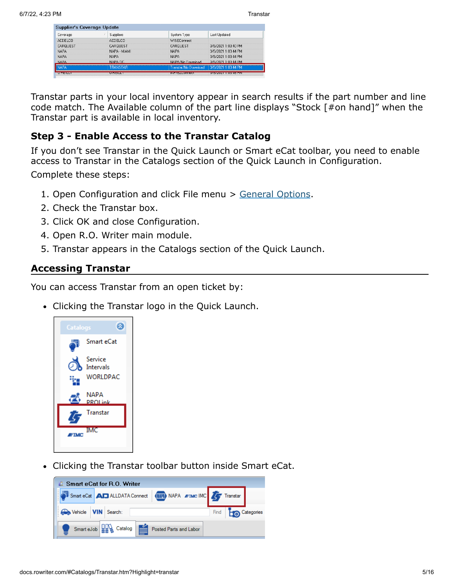| Supplier's Coverage Update |                  |                                    |                                |
|----------------------------|------------------|------------------------------------|--------------------------------|
| Coverage                   | <b>Suppliers</b> | System Type                        | Last Updated                   |
| <b>ACDELCO</b>             | <b>ACDELCO</b>   | <b>WISEConnect</b>                 |                                |
| CARQUEST                   | CAROUEST         | CARQUEST                           | 3/8/2021 1:03:40 PM            |
| <b>NAPA</b>                | NAPA - MIAMI     | <b>NAPA</b>                        | 3/8/2021 1:03:44 PM            |
| <b>NAPA</b>                | <b>NAPA</b>      | <b>NAPA</b>                        | 3/8/2021 1:03:44 PM            |
| <b>NAPA</b>                | NAPA DC          | NAPA/No Download                   | 3/8/2021 1:03:44 PM            |
|                            | TRANSTAR         | Transtar/No Download               | 3/8/2021 1:03:44 PM            |
| <b>LUNISIANI</b>           | الككارك الدلاكا  | <b>I AN INSTARTA PER DE LA PER</b> | <b>PACKAMA DE REPAIS DE VE</b> |

Transtar parts in your local inventory appear in search results if the part number and line code match. The Available column of the part line displays "Stock [#on hand]" when the Transtar part is available in local inventory.

# **Step 3 - Enable Access to the Transtar Catalog**

If you don't see Transtar in the Quick Launch or Smart eCat toolbar, you need to enable access to Transtar in the Catalogs section of the Quick Launch in Configuration. Complete these steps:

- 1. Open Configuration and click File menu > [General Options.](http://docs.rowriter.com/Content/Config/General_Options.htm#Catalogs)
- 2. Check the Transtar box.
- 3. Click OK and close Configuration.
- 4. Open R.O. Writer main module.
- 5. Transtar appears in the Catalogs section of the Quick Launch.

### <span id="page-4-0"></span>**Accessing Transtar**

You can access Transtar from an open ticket by:

Clicking the Transtar logo in the Quick Launch.



Clicking the Transtar toolbar button inside Smart eCat.

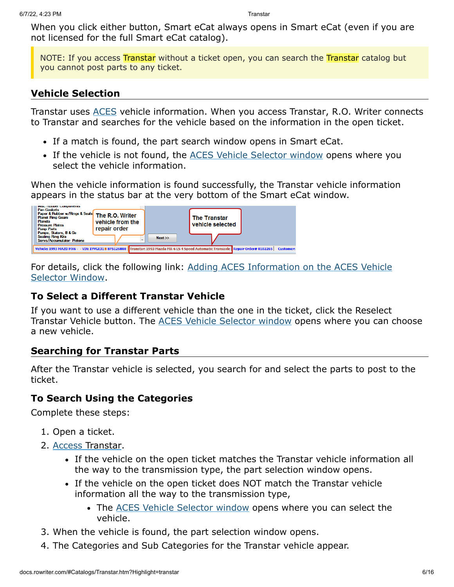When you click either button, Smart eCat always opens in Smart eCat (even if you are not licensed for the full Smart eCat catalog).

NOTE: If you access Transtar without a ticket open, you can search the Transtar catalog but you cannot post parts to any ticket.

### **Vehicle Selection**

Transtar uses [ACES](http://docs.rowriter.com/Content/ACES.htm) vehicle information. When you access Transtar, R.O. Writer connects to Transtar and searches for the vehicle based on the information in the open ticket.

- If a match is found, the part search window opens in Smart eCat.
- If the vehicle is not found, the [ACES Vehicle Selector window](http://docs.rowriter.com/Content/ACES.htm#When2) opens where you select the vehicle information.

When the vehicle information is found successfully, the Transtar vehicle information appears in the status bar at the very bottom of the Smart eCat window.



[For details, click the following link: Adding ACES Information on the ACES Vehicle](http://docs.rowriter.com/Content/ACES.htm#When2) Selector Window.

### **To Select a Different Transtar Vehicle**

If you want to use a different vehicle than the one in the ticket, click the Reselect Transtar Vehicle button. The [ACES Vehicle Selector window](http://docs.rowriter.com/Content/ACES.htm#To) opens where you can choose a new vehicle.

### **Searching for Transtar Parts**

After the Transtar vehicle is selected, you search for and select the parts to post to the ticket.

#### **To Search Using the Categories**

Complete these steps:

- 1. Open a ticket.
- 2. [Access Transtar.](#page-4-0)
	- If the vehicle on the open ticket matches the Transtar vehicle information all the way to the transmission type, the part selection window opens.
	- If the vehicle on the open ticket does NOT match the Transtar vehicle information all the way to the transmission type,
		- The [ACES Vehicle Selector window](http://docs.rowriter.com/Content/ACES.htm#To) opens where you can select the vehicle.
- 3. When the vehicle is found, the part selection window opens.
- 4. The Categories and Sub Categories for the Transtar vehicle appear.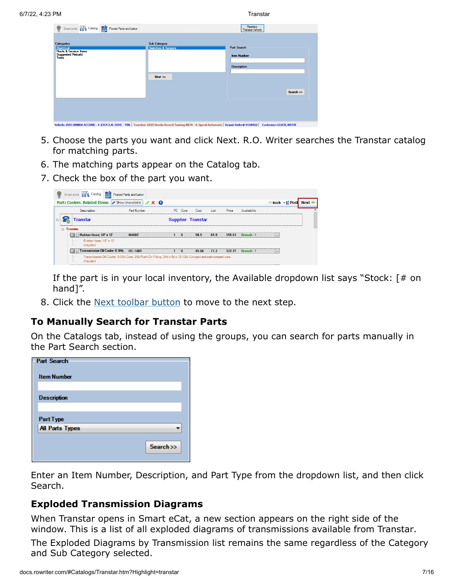| Categories                                            | <b>Sub Category</b>           |                    |
|-------------------------------------------------------|-------------------------------|--------------------|
| <b>Hectrical</b><br><b>Fluids &amp; Service Items</b> | <b>Switches &amp; Sensors</b> | <b>Part Search</b> |
| <b>Suggested Rebuild</b><br>Tools                     |                               | <b>Item Number</b> |
|                                                       |                               |                    |
|                                                       |                               | <b>Description</b> |
|                                                       |                               |                    |
|                                                       | $Next$ $\gg$                  |                    |
|                                                       |                               |                    |
|                                                       |                               |                    |
|                                                       |                               | Search >>          |
|                                                       |                               |                    |
|                                                       |                               |                    |

- 5. Choose the parts you want and click Next. R.O. Writer searches the Transtar catalog for matching parts.
- 6. The matching parts appear on the Catalog tab.
- 7. Check the box of the part you want.

| Smart eJob <b>DOM</b> Catalog <b>Posted Parts and Labor</b>                                                               |                    |          |                           |      |        |              |  |                      |
|---------------------------------------------------------------------------------------------------------------------------|--------------------|----------|---------------------------|------|--------|--------------|--|----------------------|
| <b>Part: Coolers Related Items </b> Show Unavailable $\mathcal{X}$ 8                                                      |                    |          |                           |      |        |              |  | Back - E Post Next → |
| <b>Description</b>                                                                                                        | <b>Part Number</b> | PC Core  | Cost                      | List | Price  | Availability |  | $\hat{\phantom{a}}$  |
| <b>Transtar</b><br>$\boxminus$                                                                                            |                    |          | <b>Supplier: Transtar</b> |      |        |              |  |                      |
| <b>E</b> Transtar<br>Rubber Hose: 1/2" x 12"                                                                              | <b>M460E</b>       | $\Omega$ | 58.5                      | 85.9 | 155.61 | Branch: 1    |  |                      |
| Rubber Hose: 1/2" x 12"<br>(Hayden)                                                                                       |                    |          |                           |      |        |              |  |                      |
| Transmission Oil Cooler; 8-3/4ö OC-1401                                                                                   |                    | $\Omega$ | 45.64                     | 77.2 | 122.77 | Branch: 1    |  |                      |
| Transmission Oil Cooler; 8-3/46 Core, 3/86 Push-On Fitting, 3/46 x 56 x 12-1/26; Compact and sub-compact cars<br>(Hayden) |                    |          |                           |      |        |              |  |                      |

If the part is in your local inventory, the Available dropdown list says "Stock: [# on hand]".

8. Click the [Next toolbar button](#page-8-0) to move to the next step.

### **To Manually Search for Transtar Parts**

On the Catalogs tab, instead of using the groups, you can search for parts manually in the Part Search section.

| <b>Part Search</b>     |           |
|------------------------|-----------|
| <b>Item Number</b>     |           |
|                        |           |
| <b>Description</b>     |           |
|                        |           |
| Part Type              |           |
| <b>All Parts Types</b> |           |
|                        |           |
|                        | Search >> |
|                        |           |

Enter an Item Number, Description, and Part Type from the dropdown list, and then click Search.

### **Exploded Transmission Diagrams**

When Transtar opens in Smart eCat, a new section appears on the right side of the window. This is a list of all exploded diagrams of transmissions available from Transtar.

The Exploded Diagrams by Transmission list remains the same regardless of the Category and Sub Category selected.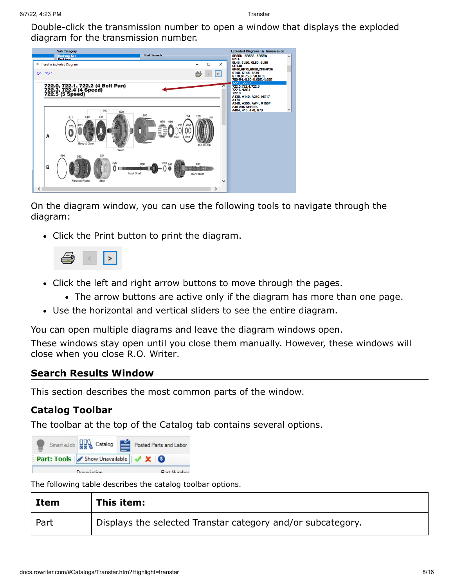Double-click the transmission number to open a window that displays the exploded diagram for the transmission number.



On the diagram window, you can use the following tools to navigate through the diagram:

• Click the Print button to print the diagram.



- Click the left and right arrow buttons to move through the pages.
	- The arrow buttons are active only if the diagram has more than one page.
- Use the horizontal and vertical sliders to see the entire diagram.

You can open multiple diagrams and leave the diagram windows open.

These windows stay open until you close them manually. However, these windows will close when you close R.O. Writer.

#### **Search Results Window**

This section describes the most common parts of the window.

### **Catalog Toolbar**

The toolbar at the top of the Catalog tab contains several options.



The following table describes the catalog toolbar options.

| Item | This item:                                                  |
|------|-------------------------------------------------------------|
| Part | Displays the selected Transtar category and/or subcategory. |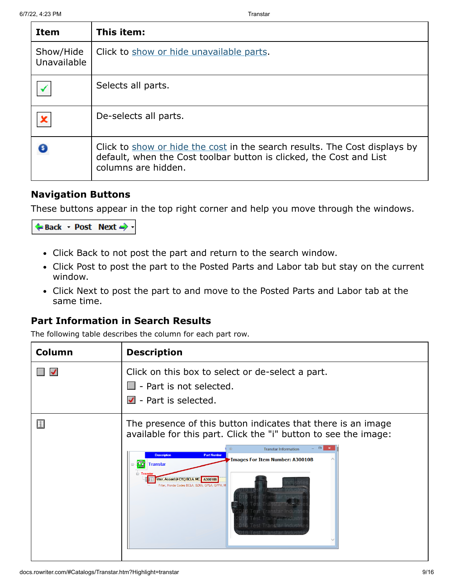| Item                     | This item:                                                                                                                                                               |
|--------------------------|--------------------------------------------------------------------------------------------------------------------------------------------------------------------------|
| Show/Hide<br>Unavailable | Click to show or hide unavailable parts.                                                                                                                                 |
|                          | Selects all parts.                                                                                                                                                       |
|                          | De-selects all parts.                                                                                                                                                    |
|                          | Click to show or hide the cost in the search results. The Cost displays by<br>default, when the Cost toolbar button is clicked, the Cost and List<br>columns are hidden. |

### <span id="page-8-0"></span>**Navigation Buttons**

These buttons appear in the top right corner and help you move through the windows.



- Click Back to not post the part and return to the search window.
- Click Post to post the part to the Posted Parts and Labor tab but stay on the current window.
- Click Next to post the part to and move to the Posted Parts and Labor tab at the same time.

### **Part Information in Search Results**

The following table describes the column for each part row.

| Column | <b>Description</b>                                                                                                                                                                                                                                                                                                                                                                                                                                                                                               |  |  |
|--------|------------------------------------------------------------------------------------------------------------------------------------------------------------------------------------------------------------------------------------------------------------------------------------------------------------------------------------------------------------------------------------------------------------------------------------------------------------------------------------------------------------------|--|--|
|        | Click on this box to select or de-select a part.<br>- Part is not selected.<br>- Part is selected.<br>$\checkmark$                                                                                                                                                                                                                                                                                                                                                                                               |  |  |
|        | The presence of this button indicates that there is an image<br>available for this part. Click the "i" button to see the image:<br>$\Box$<br><b>Transtar Information</b><br><b>Description</b><br><b>Part Number</b><br>Images For Item Number: A30010B<br><b>B</b> Transtar<br>ilter, Accord (4 CYL) BCLA, MC. A30010B<br>Filter, Honda Codes BCLA, BZKA, GPLA, GPPA, M<br>anstar Indus<br>ranstar Industr<br>instar Industr<br>ranstar Industri<br>Transtar Industria<br>Transfar Industrie<br>Transtar Indust |  |  |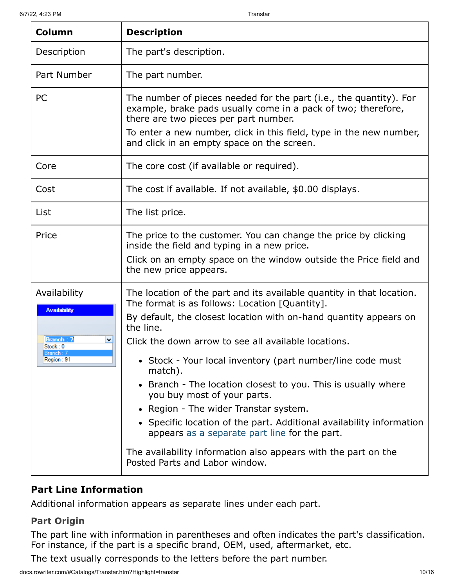| Column                                                                                      | <b>Description</b>                                                                                                                                                                                                                                                                                                                                                                                                                                                                                                                                                                                                                                                                                                          |  |  |
|---------------------------------------------------------------------------------------------|-----------------------------------------------------------------------------------------------------------------------------------------------------------------------------------------------------------------------------------------------------------------------------------------------------------------------------------------------------------------------------------------------------------------------------------------------------------------------------------------------------------------------------------------------------------------------------------------------------------------------------------------------------------------------------------------------------------------------------|--|--|
| Description                                                                                 | The part's description.                                                                                                                                                                                                                                                                                                                                                                                                                                                                                                                                                                                                                                                                                                     |  |  |
| Part Number                                                                                 | The part number.                                                                                                                                                                                                                                                                                                                                                                                                                                                                                                                                                                                                                                                                                                            |  |  |
| PC                                                                                          | The number of pieces needed for the part (i.e., the quantity). For<br>example, brake pads usually come in a pack of two; therefore,<br>there are two pieces per part number.<br>To enter a new number, click in this field, type in the new number,<br>and click in an empty space on the screen.                                                                                                                                                                                                                                                                                                                                                                                                                           |  |  |
| Core                                                                                        | The core cost (if available or required).                                                                                                                                                                                                                                                                                                                                                                                                                                                                                                                                                                                                                                                                                   |  |  |
| Cost                                                                                        | The cost if available. If not available, \$0.00 displays.                                                                                                                                                                                                                                                                                                                                                                                                                                                                                                                                                                                                                                                                   |  |  |
| List                                                                                        | The list price.                                                                                                                                                                                                                                                                                                                                                                                                                                                                                                                                                                                                                                                                                                             |  |  |
| Price                                                                                       | The price to the customer. You can change the price by clicking<br>inside the field and typing in a new price.<br>Click on an empty space on the window outside the Price field and<br>the new price appears.                                                                                                                                                                                                                                                                                                                                                                                                                                                                                                               |  |  |
| Availability<br><b>Availability</b><br>Branch: 7<br>٧<br>Stock: 0<br>Branch :<br>Region: 91 | The location of the part and its available quantity in that location.<br>The format is as follows: Location [Quantity].<br>By default, the closest location with on-hand quantity appears on<br>the line.<br>Click the down arrow to see all available locations.<br>• Stock - Your local inventory (part number/line code must<br>match).<br>Branch - The location closest to you. This is usually where<br>$\bullet$<br>you buy most of your parts.<br>• Region - The wider Transtar system.<br>• Specific location of the part. Additional availability information<br>appears as a separate part line for the part.<br>The availability information also appears with the part on the<br>Posted Parts and Labor window. |  |  |

# **Part Line Information**

Additional information appears as separate lines under each part.

# **Part Origin**

The part line with information in parentheses and often indicates the part's classification. For instance, if the part is a specific brand, OEM, used, aftermarket, etc.

The text usually corresponds to the letters before the part number.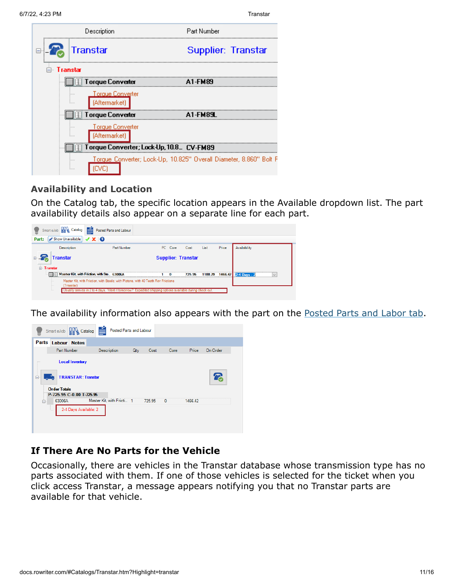| 6/7/22, 4:23 PM                                     | Transtar                                                           |
|-----------------------------------------------------|--------------------------------------------------------------------|
| Description                                         | Part Number                                                        |
| Transtar                                            | Supplier: Transtar                                                 |
| ⊟⊹ Transtar                                         |                                                                    |
| Torque Converter                                    | A1-FM89                                                            |
| <u>Torque Conve</u> rter<br>.<br>(Aftermarket)<br>. |                                                                    |
| Torque Converter                                    | FM89.                                                              |
| Torque Converter<br>.<br>(Aftermarket)<br>.         |                                                                    |
| Torque Converter; Lock-Up, 10.8_ CV-FM89            |                                                                    |
| 1.1.1<br>                                           | Torque Converter; Lock-Up, 10.825" Overall Diameter, 8.860" Bolt F |

### <span id="page-10-0"></span>**Availability and Location**

On the Catalog tab, the specific location appears in the Available dropdown list. The part availability details also appear on a separate line for each part.



The availability information also appears with the part on the [Posted Parts and Labor tab.](http://docs.rowriter.com/Content/SMEC/SMEC_SearchPost.htm#Posted_Parts_and_Labor)



# **If There Are No Parts for the Vehicle**

Occasionally, there are vehicles in the Transtar database whose transmission type has no parts associated with them. If one of those vehicles is selected for the ticket when you click access Transtar, a message appears notifying you that no Transtar parts are available for that vehicle.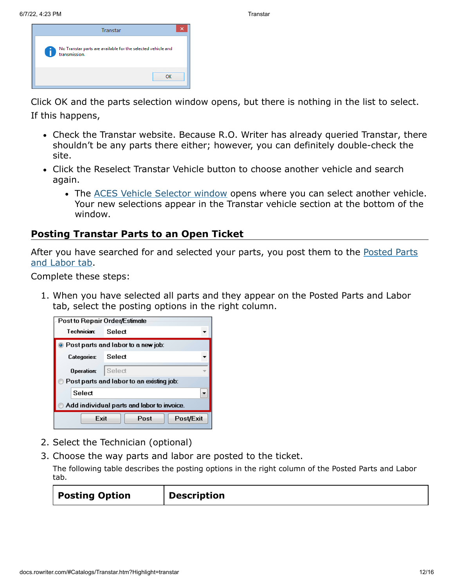| <b>Transtar</b>                                                                    |  |  |
|------------------------------------------------------------------------------------|--|--|
| No Transtar parts are available for the selected vehicle and<br>transmission.<br>G |  |  |
| OK                                                                                 |  |  |

Click OK and the parts selection window opens, but there is nothing in the list to select. If this happens,

- Check the Transtar website. Because R.O. Writer has already queried Transtar, there shouldn't be any parts there either; however, you can definitely double-check the site.
- Click the Reselect Transtar Vehicle button to choose another vehicle and search again.
	- The [ACES Vehicle Selector window](http://docs.rowriter.com/Content/ACES.htm#To) opens where you can select another vehicle. Your new selections appear in the Transtar vehicle section at the bottom of the window.

## **Posting Transtar Parts to an Open Ticket**

[After you have searched for and selected your parts, you post them to the Posted Parts](http://docs.rowriter.com/Content/SMEC/SMEC_SearchPost.htm#Posted_Parts_and_Labor) and Labor tab.

Complete these steps:

1. When you have selected all parts and they appear on the Posted Parts and Labor tab, select the posting options in the right column.

| Post to Repair Order/Estimate                |  |  |  |  |
|----------------------------------------------|--|--|--|--|
| Technician:<br>Select                        |  |  |  |  |
| $\bullet$ Post parts and labor to a new job: |  |  |  |  |
| Select<br><b>Categories:</b>                 |  |  |  |  |
| Select<br>Operation:                         |  |  |  |  |
| Post parts and labor to an existing job:     |  |  |  |  |
| Select                                       |  |  |  |  |
| Add individual parts and labor to invoice.   |  |  |  |  |
| Fxit<br>Post<br>Post/Exit                    |  |  |  |  |

- 2. Select the Technician (optional)
- 3. Choose the way parts and labor are posted to the ticket.

The following table describes the posting options in the right column of the Posted Parts and Labor tab.

|  | <b>Posting Option</b> | <b>Description</b> |
|--|-----------------------|--------------------|
|--|-----------------------|--------------------|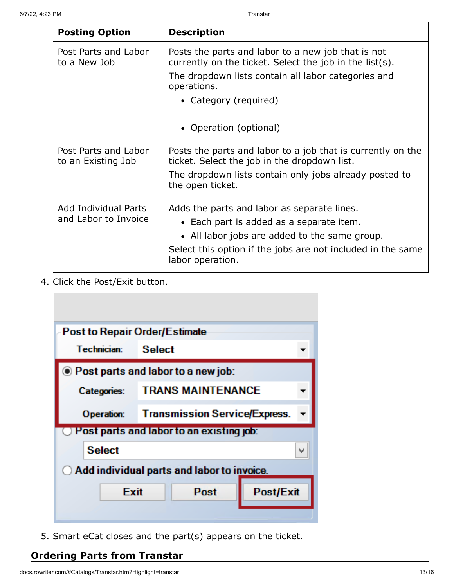| <b>Posting Option</b>                      | <b>Description</b>                                                                                            |  |  |
|--------------------------------------------|---------------------------------------------------------------------------------------------------------------|--|--|
| Post Parts and Labor<br>to a New Job       | Posts the parts and labor to a new job that is not<br>currently on the ticket. Select the job in the list(s). |  |  |
|                                            | The dropdown lists contain all labor categories and<br>operations.                                            |  |  |
|                                            | • Category (required)                                                                                         |  |  |
|                                            | • Operation (optional)                                                                                        |  |  |
| Post Parts and Labor<br>to an Existing Job | Posts the parts and labor to a job that is currently on the<br>ticket. Select the job in the dropdown list.   |  |  |
|                                            | The dropdown lists contain only jobs already posted to<br>the open ticket.                                    |  |  |
| Add Individual Parts                       | Adds the parts and labor as separate lines.                                                                   |  |  |
| and Labor to Invoice                       | • Each part is added as a separate item.                                                                      |  |  |
|                                            | • All labor jobs are added to the same group.                                                                 |  |  |
|                                            | Select this option if the jobs are not included in the same<br>labor operation.                               |  |  |

4. Click the Post/Exit button.

![](_page_12_Figure_4.jpeg)

5. Smart eCat closes and the part(s) appears on the ticket.

### <span id="page-12-0"></span>**Ordering Parts from Transtar**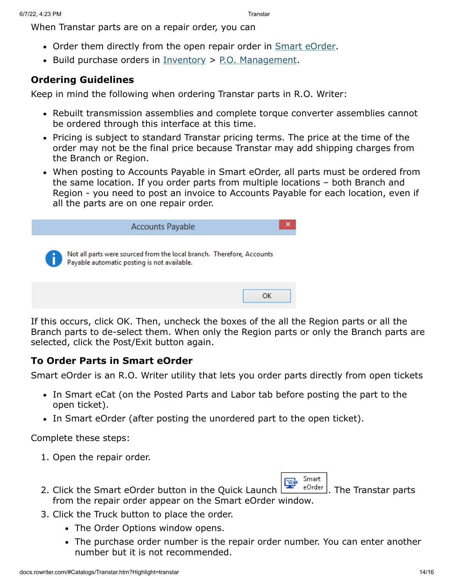When Transtar parts are on a repair order, you can

- Order them directly from the open repair order in [Smart eOrder.](http://docs.rowriter.com/Content/SMEC/Smart_eOrder.htm)
- Build purchase orders in  $Inventory > P.O.$  $Inventory > P.O.$  Management.

#### **Ordering Guidelines**

Keep in mind the following when ordering Transtar parts in R.O. Writer:

- Rebuilt transmission assemblies and complete torque converter assemblies cannot be ordered through this interface at this time.
- Pricing is subject to standard Transtar pricing terms. The price at the time of the order may not be the final price because Transtar may add shipping charges from the Branch or Region.
- When posting to Accounts Payable in Smart eOrder, all parts must be ordered from the same location. If you order parts from multiple locations – both Branch and Region - you need to post an invoice to Accounts Payable for each location, even if all the parts are on one repair order.

![](_page_13_Picture_10.jpeg)

If this occurs, click OK. Then, uncheck the boxes of the all the Region parts or all the Branch parts to de-select them. When only the Region parts or only the Branch parts are selected, click the Post/Exit button again.

#### **To Order Parts in Smart eOrder**

Smart eOrder is an R.O. Writer utility that lets you order parts directly from open tickets

- In Smart eCat (on the Posted Parts and Labor tab before posting the part to the open ticket).
- In Smart eOrder (after posting the unordered part to the open ticket).

Complete these steps:

1. Open the repair order.

![](_page_13_Picture_18.jpeg)

- 2. Click the Smart eOrder button in the Ouick Launch  $\mathbb{R}^n$   $\mathbb{R}^{\text{Order}}$ . The Transtar parts from the repair order appear on the Smart eOrder window.
- 3. Click the Truck button to place the order.
	- The Order Options window opens.
	- The purchase order number is the repair order number. You can enter another number but it is not recommended.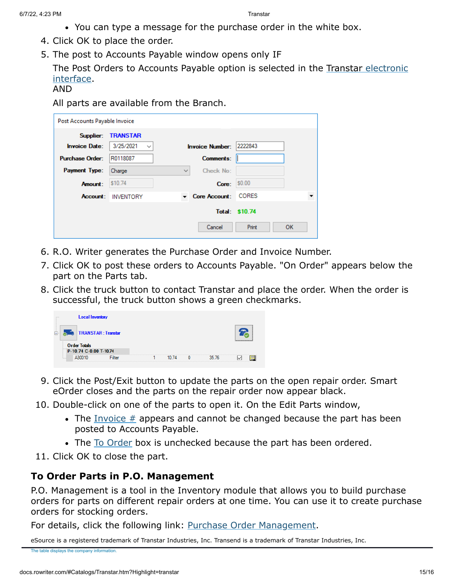- You can type a message for the purchase order in the white box.
- 4. Click OK to place the order.
- 5. The post to Accounts Payable window opens only IF

[The Post Orders to Accounts Payable option is selected in the Transtar electronic](#page-0-0) interface.

AND

All parts are available from the Branch.

| Post Accounts Payable Invoice |                           |              |                        |                |           |
|-------------------------------|---------------------------|--------------|------------------------|----------------|-----------|
|                               | Supplier: TRANSTAR        |              |                        |                |           |
| <b>Invoice Date:</b>          | 3/25/2021<br>$\checkmark$ |              | <b>Invoice Number:</b> | 2222843        |           |
| <b>Purchase Order:</b>        | R0118087                  |              | <b>Comments:</b>       |                |           |
| Payment Type:                 | Charge                    | $\checkmark$ | Check No:              |                |           |
| Amount:                       | \$10.74                   |              | Core:                  | \$0.00         |           |
|                               | <b>Account: INVENTORY</b> |              | <b>Core Account:</b>   | <b>CORES</b>   |           |
|                               |                           |              |                        | Total: \$10.74 |           |
|                               |                           |              | Cancel                 | Print          | <b>OK</b> |

- 6. R.O. Writer generates the Purchase Order and Invoice Number.
- 7. Click OK to post these orders to Accounts Payable. "On Order" appears below the part on the Parts tab.
- 8. Click the truck button to contact Transtar and place the order. When the order is successful, the truck button shows a green checkmarks.

![](_page_14_Picture_12.jpeg)

- 9. Click the Post/Exit button to update the parts on the open repair order. Smart eOrder closes and the parts on the repair order now appear black.
- 10. Double-click on one of the parts to open it. On the Edit Parts window,
	- $\bullet$  The Invoice  $\#$  appears and cannot be changed because the part has been posted to Accounts Payable.
	- The [To Order](http://docs.rowriter.com/Content/Tix/Add_Parts.htm#To) box is unchecked because the part has been ordered.
- 11. Click OK to close the part.

### **To Order Parts in P.O. Management**

P.O. Management is a tool in the Inventory module that allows you to build purchase orders for parts on different repair orders at one time. You can use it to create purchase orders for stocking orders.

For details, click the following link: [Purchase Order Management.](http://docs.rowriter.com/Content/Inv/PO_Mgmt.htm)

eSource is a registered trademark of Transtar Industries, Inc. Transend is a trademark of Transtar Industries, Inc.

The table displays the company information.